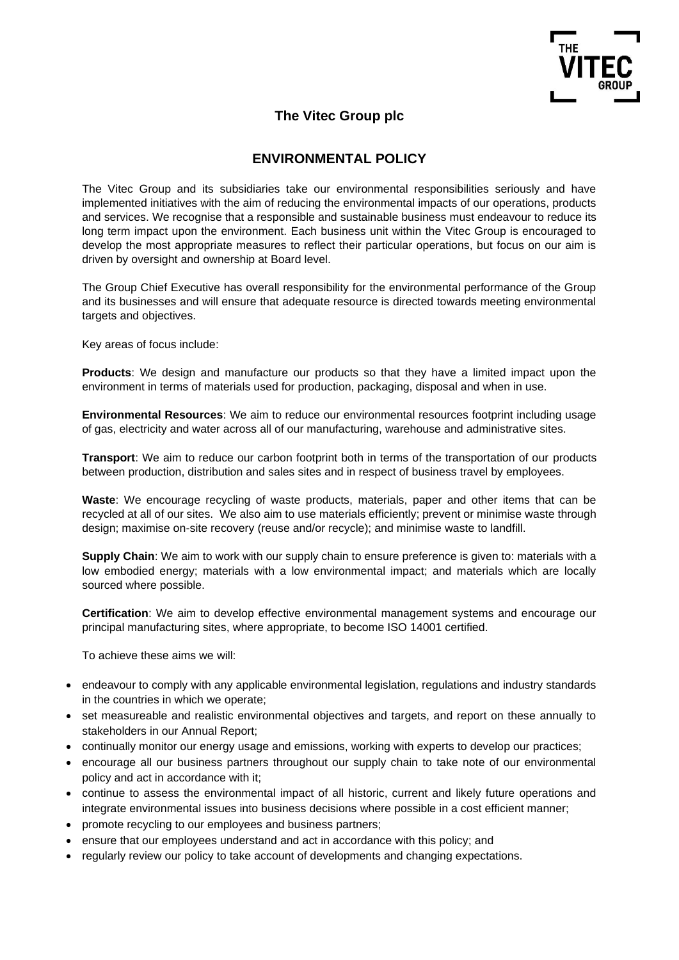

## **The Vitec Group plc**

## **ENVIRONMENTAL POLICY**

The Vitec Group and its subsidiaries take our environmental responsibilities seriously and have implemented initiatives with the aim of reducing the environmental impacts of our operations, products and services. We recognise that a responsible and sustainable business must endeavour to reduce its long term impact upon the environment. Each business unit within the Vitec Group is encouraged to develop the most appropriate measures to reflect their particular operations, but focus on our aim is driven by oversight and ownership at Board level.

The Group Chief Executive has overall responsibility for the environmental performance of the Group and its businesses and will ensure that adequate resource is directed towards meeting environmental targets and objectives.

Key areas of focus include:

**Products**: We design and manufacture our products so that they have a limited impact upon the environment in terms of materials used for production, packaging, disposal and when in use.

**Environmental Resources**: We aim to reduce our environmental resources footprint including usage of gas, electricity and water across all of our manufacturing, warehouse and administrative sites.

**Transport**: We aim to reduce our carbon footprint both in terms of the transportation of our products between production, distribution and sales sites and in respect of business travel by employees.

**Waste**: We encourage recycling of waste products, materials, paper and other items that can be recycled at all of our sites. We also aim to use materials efficiently; prevent or minimise waste through design; maximise on-site recovery (reuse and/or recycle); and minimise waste to landfill.

**Supply Chain**: We aim to work with our supply chain to ensure preference is given to: materials with a low embodied energy; materials with a low environmental impact; and materials which are locally sourced where possible.

**Certification**: We aim to develop effective environmental management systems and encourage our principal manufacturing sites, where appropriate, to become ISO 14001 certified.

To achieve these aims we will:

- endeavour to comply with any applicable environmental legislation, regulations and industry standards in the countries in which we operate;
- set measureable and realistic environmental objectives and targets, and report on these annually to stakeholders in our Annual Report;
- continually monitor our energy usage and emissions, working with experts to develop our practices;
- encourage all our business partners throughout our supply chain to take note of our environmental policy and act in accordance with it;
- continue to assess the environmental impact of all historic, current and likely future operations and integrate environmental issues into business decisions where possible in a cost efficient manner;
- promote recycling to our employees and business partners;
- ensure that our employees understand and act in accordance with this policy; and
- regularly review our policy to take account of developments and changing expectations.